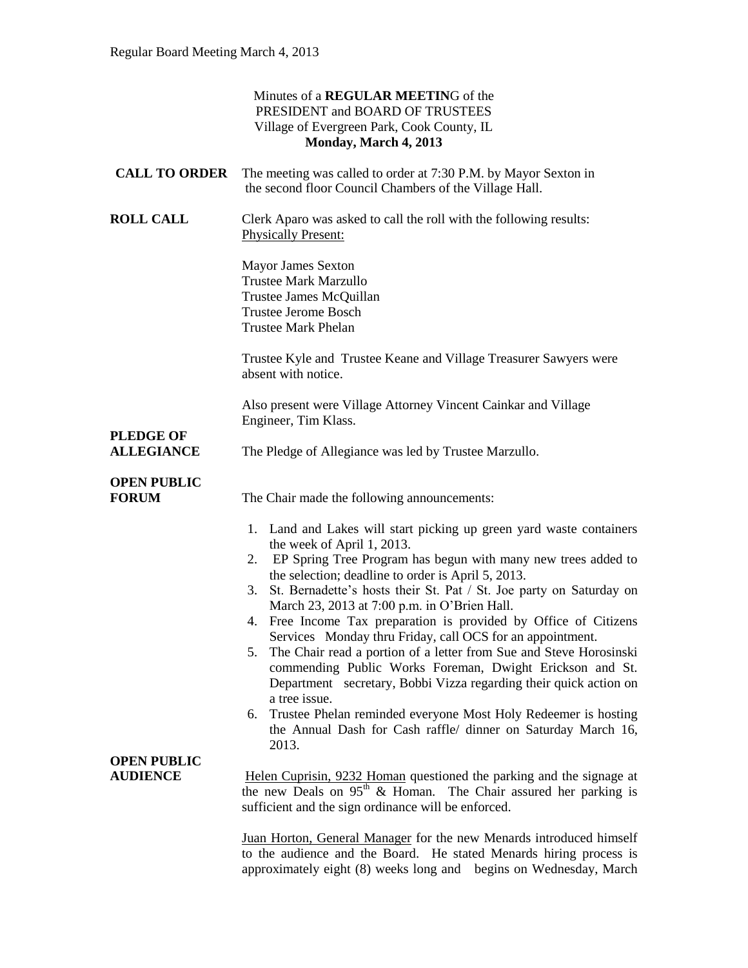|                                       | Minutes of a REGULAR MEETING of the<br>PRESIDENT and BOARD OF TRUSTEES<br>Village of Evergreen Park, Cook County, IL<br>Monday, March 4, 2013                                                                                                                                                                                                                                                                                                                                                                                                                                                                                                                                                                                                                                                                                                                                |
|---------------------------------------|------------------------------------------------------------------------------------------------------------------------------------------------------------------------------------------------------------------------------------------------------------------------------------------------------------------------------------------------------------------------------------------------------------------------------------------------------------------------------------------------------------------------------------------------------------------------------------------------------------------------------------------------------------------------------------------------------------------------------------------------------------------------------------------------------------------------------------------------------------------------------|
| <b>CALL TO ORDER</b>                  | The meeting was called to order at 7:30 P.M. by Mayor Sexton in<br>the second floor Council Chambers of the Village Hall.                                                                                                                                                                                                                                                                                                                                                                                                                                                                                                                                                                                                                                                                                                                                                    |
| <b>ROLL CALL</b>                      | Clerk Aparo was asked to call the roll with the following results:<br><b>Physically Present:</b>                                                                                                                                                                                                                                                                                                                                                                                                                                                                                                                                                                                                                                                                                                                                                                             |
|                                       | Mayor James Sexton<br><b>Trustee Mark Marzullo</b><br>Trustee James McQuillan<br><b>Trustee Jerome Bosch</b><br><b>Trustee Mark Phelan</b>                                                                                                                                                                                                                                                                                                                                                                                                                                                                                                                                                                                                                                                                                                                                   |
|                                       | Trustee Kyle and Trustee Keane and Village Treasurer Sawyers were<br>absent with notice.                                                                                                                                                                                                                                                                                                                                                                                                                                                                                                                                                                                                                                                                                                                                                                                     |
| <b>PLEDGE OF</b>                      | Also present were Village Attorney Vincent Cainkar and Village<br>Engineer, Tim Klass.                                                                                                                                                                                                                                                                                                                                                                                                                                                                                                                                                                                                                                                                                                                                                                                       |
| <b>ALLEGIANCE</b>                     | The Pledge of Allegiance was led by Trustee Marzullo.                                                                                                                                                                                                                                                                                                                                                                                                                                                                                                                                                                                                                                                                                                                                                                                                                        |
| <b>OPEN PUBLIC</b><br><b>FORUM</b>    | The Chair made the following announcements:                                                                                                                                                                                                                                                                                                                                                                                                                                                                                                                                                                                                                                                                                                                                                                                                                                  |
|                                       | 1. Land and Lakes will start picking up green yard waste containers<br>the week of April 1, 2013.<br>EP Spring Tree Program has begun with many new trees added to<br>2.<br>the selection; deadline to order is April 5, 2013.<br>St. Bernadette's hosts their St. Pat / St. Joe party on Saturday on<br>3.<br>March 23, 2013 at 7:00 p.m. in O'Brien Hall.<br>4. Free Income Tax preparation is provided by Office of Citizens<br>Services Monday thru Friday, call OCS for an appointment.<br>The Chair read a portion of a letter from Sue and Steve Horosinski<br>5.<br>commending Public Works Foreman, Dwight Erickson and St.<br>Department secretary, Bobbi Vizza regarding their quick action on<br>a tree issue.<br>Trustee Phelan reminded everyone Most Holy Redeemer is hosting<br>6.<br>the Annual Dash for Cash raffle/ dinner on Saturday March 16,<br>2013. |
| <b>OPEN PUBLIC</b><br><b>AUDIENCE</b> | Helen Cuprisin, 9232 Homan questioned the parking and the signage at<br>the new Deals on 95 <sup>th</sup> & Homan. The Chair assured her parking is<br>sufficient and the sign ordinance will be enforced.                                                                                                                                                                                                                                                                                                                                                                                                                                                                                                                                                                                                                                                                   |
|                                       | Juan Horton, General Manager for the new Menards introduced himself<br>to the audience and the Board. He stated Menards hiring process is                                                                                                                                                                                                                                                                                                                                                                                                                                                                                                                                                                                                                                                                                                                                    |

approximately eight (8) weeks long and begins on Wednesday, March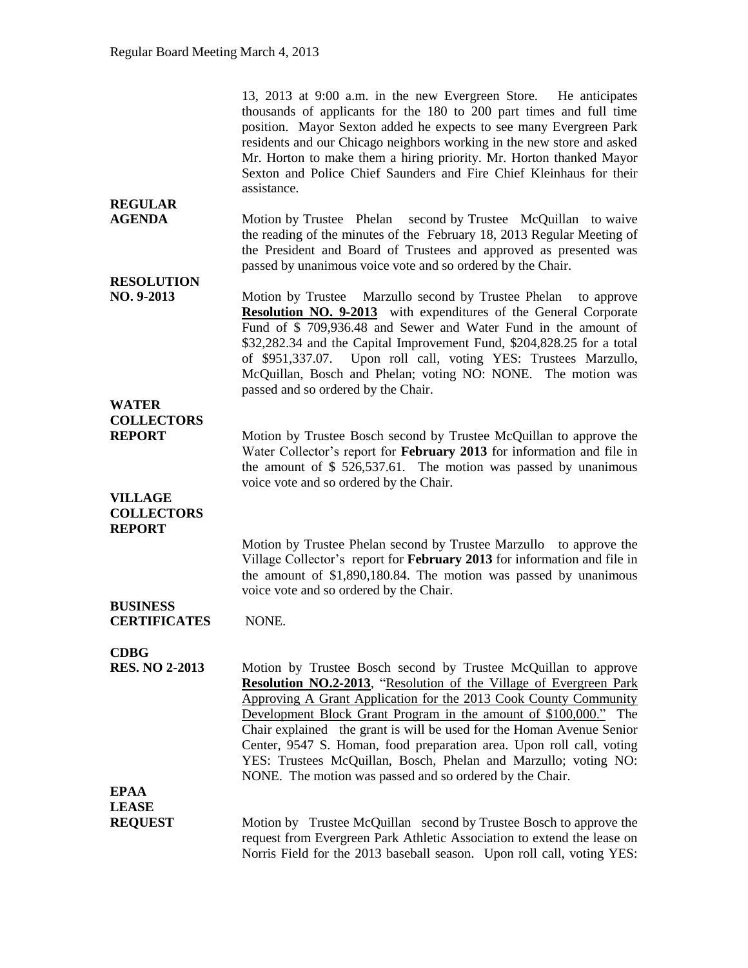|                                                      | 13, 2013 at 9:00 a.m. in the new Evergreen Store. He anticipates<br>thousands of applicants for the 180 to 200 part times and full time<br>position. Mayor Sexton added he expects to see many Evergreen Park<br>residents and our Chicago neighbors working in the new store and asked<br>Mr. Horton to make them a hiring priority. Mr. Horton thanked Mayor<br>Sexton and Police Chief Saunders and Fire Chief Kleinhaus for their<br>assistance.                                                     |
|------------------------------------------------------|----------------------------------------------------------------------------------------------------------------------------------------------------------------------------------------------------------------------------------------------------------------------------------------------------------------------------------------------------------------------------------------------------------------------------------------------------------------------------------------------------------|
| <b>REGULAR</b><br><b>AGENDA</b>                      | Motion by Trustee Phelan second by Trustee McQuillan to waive<br>the reading of the minutes of the February 18, 2013 Regular Meeting of<br>the President and Board of Trustees and approved as presented was<br>passed by unanimous voice vote and so ordered by the Chair.                                                                                                                                                                                                                              |
| <b>RESOLUTION</b><br>NO. 9-2013                      | Motion by Trustee Marzullo second by Trustee Phelan to approve<br><b>Resolution NO. 9-2013</b> with expenditures of the General Corporate<br>Fund of \$709,936.48 and Sewer and Water Fund in the amount of<br>\$32,282.34 and the Capital Improvement Fund, \$204,828.25 for a total<br>of \$951,337.07. Upon roll call, voting YES: Trustees Marzullo,<br>McQuillan, Bosch and Phelan; voting NO: NONE. The motion was<br>passed and so ordered by the Chair.                                          |
| <b>WATER</b>                                         |                                                                                                                                                                                                                                                                                                                                                                                                                                                                                                          |
| <b>COLLECTORS</b><br><b>REPORT</b>                   | Motion by Trustee Bosch second by Trustee McQuillan to approve the<br>Water Collector's report for February 2013 for information and file in<br>the amount of $$526,537.61$ . The motion was passed by unanimous<br>voice vote and so ordered by the Chair.                                                                                                                                                                                                                                              |
| <b>VILLAGE</b><br><b>COLLECTORS</b><br><b>REPORT</b> |                                                                                                                                                                                                                                                                                                                                                                                                                                                                                                          |
|                                                      | Motion by Trustee Phelan second by Trustee Marzullo to approve the<br>Village Collector's report for February 2013 for information and file in<br>the amount of \$1,890,180.84. The motion was passed by unanimous<br>voice vote and so ordered by the Chair.                                                                                                                                                                                                                                            |
| <b>BUSINESS</b><br><b>CERTIFICATES</b>               | NONE.                                                                                                                                                                                                                                                                                                                                                                                                                                                                                                    |
| <b>CDBG</b><br><b>RES. NO 2-2013</b>                 | Motion by Trustee Bosch second by Trustee McQuillan to approve<br><b>Resolution NO.2-2013</b> , "Resolution of the Village of Evergreen Park<br>Approving A Grant Application for the 2013 Cook County Community<br>Development Block Grant Program in the amount of \$100,000." The<br>Chair explained the grant is will be used for the Homan Avenue Senior<br>Center, 9547 S. Homan, food preparation area. Upon roll call, voting<br>YES: Trustees McQuillan, Bosch, Phelan and Marzullo; voting NO: |
|                                                      | NONE. The motion was passed and so ordered by the Chair.                                                                                                                                                                                                                                                                                                                                                                                                                                                 |
| <b>EPAA</b><br><b>LEASE</b>                          |                                                                                                                                                                                                                                                                                                                                                                                                                                                                                                          |
| <b>REQUEST</b>                                       | Motion by Trustee McQuillan second by Trustee Bosch to approve the<br>request from Evergreen Park Athletic Association to extend the lease on<br>Norris Field for the 2013 baseball season. Upon roll call, voting YES:                                                                                                                                                                                                                                                                                  |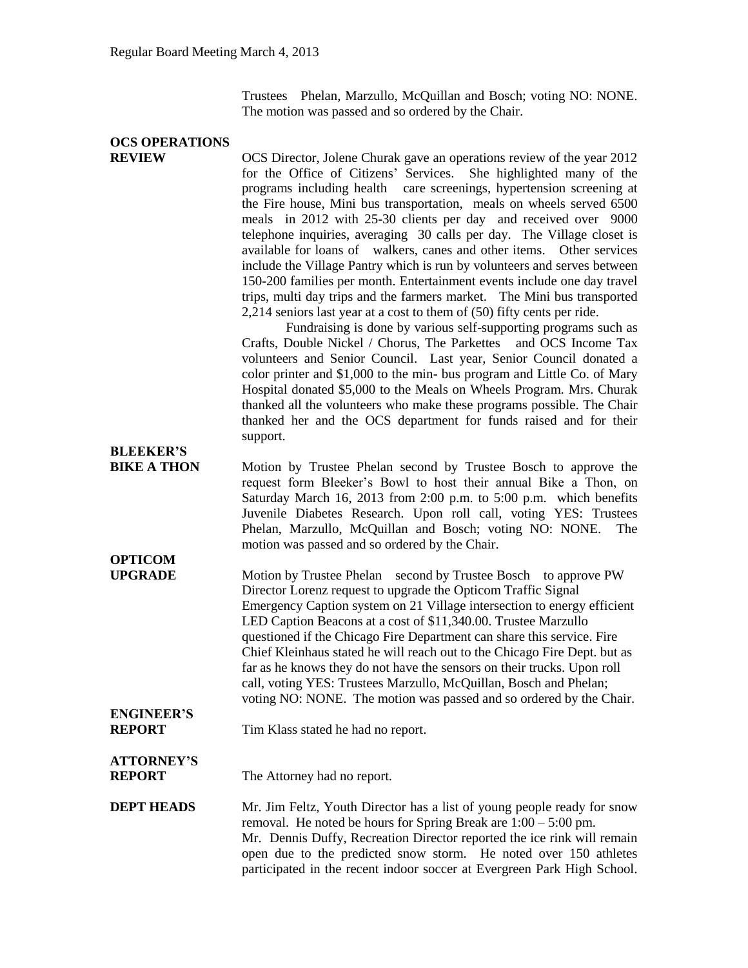Trustees Phelan, Marzullo, McQuillan and Bosch; voting NO: NONE. The motion was passed and so ordered by the Chair.

## **OCS OPERATIONS**

**REVIEW** OCS Director, Jolene Churak gave an operations review of the year 2012 for the Office of Citizens' Services. She highlighted many of the programs including health care screenings, hypertension screening at the Fire house, Mini bus transportation, meals on wheels served 6500 meals in 2012 with 25-30 clients per day and received over 9000 telephone inquiries, averaging 30 calls per day. The Village closet is available for loans of walkers, canes and other items. Other services include the Village Pantry which is run by volunteers and serves between 150-200 families per month. Entertainment events include one day travel trips, multi day trips and the farmers market. The Mini bus transported 2,214 seniors last year at a cost to them of (50) fifty cents per ride.

> Fundraising is done by various self-supporting programs such as Crafts, Double Nickel / Chorus, The Parkettes and OCS Income Tax volunteers and Senior Council. Last year, Senior Council donated a color printer and \$1,000 to the min- bus program and Little Co. of Mary Hospital donated \$5,000 to the Meals on Wheels Program. Mrs. Churak thanked all the volunteers who make these programs possible. The Chair thanked her and the OCS department for funds raised and for their support.

**BLEEKER'S**

**OPTICOM**

**BIKE A THON** Motion by Trustee Phelan second by Trustee Bosch to approve the request form Bleeker's Bowl to host their annual Bike a Thon, on Saturday March 16, 2013 from 2:00 p.m. to 5:00 p.m. which benefits Juvenile Diabetes Research. Upon roll call, voting YES: Trustees Phelan, Marzullo, McQuillan and Bosch; voting NO: NONE. The motion was passed and so ordered by the Chair.

**UPGRADE** Motion by Trustee Phelan second by Trustee Bosch to approve PW Director Lorenz request to upgrade the Opticom Traffic Signal Emergency Caption system on 21 Village intersection to energy efficient LED Caption Beacons at a cost of \$11,340.00. Trustee Marzullo questioned if the Chicago Fire Department can share this service. Fire Chief Kleinhaus stated he will reach out to the Chicago Fire Dept. but as far as he knows they do not have the sensors on their trucks. Upon roll call, voting YES: Trustees Marzullo, McQuillan, Bosch and Phelan; voting NO: NONE. The motion was passed and so ordered by the Chair.

# **ENGINEER'S**

**REPORT** Tim Klass stated he had no report.

### **ATTORNEY'S**

**REPORT** The Attorney had no report.

#### **DEPT HEADS** Mr. Jim Feltz, Youth Director has a list of young people ready for snow removal. He noted be hours for Spring Break are 1:00 – 5:00 pm. Mr. Dennis Duffy, Recreation Director reported the ice rink will remain open due to the predicted snow storm. He noted over 150 athletes participated in the recent indoor soccer at Evergreen Park High School.